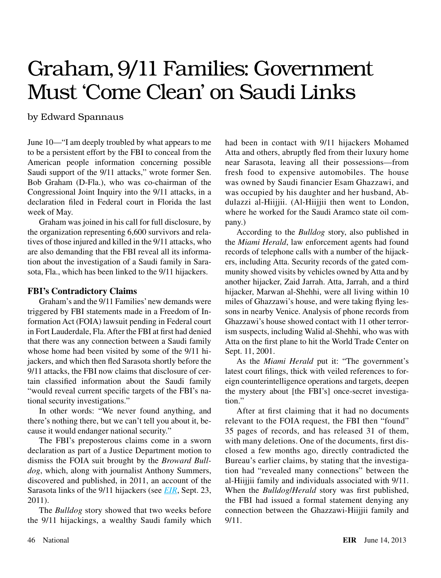## Graham, 9/11 Families: Government Must 'Come Clean' on Saudi Links

by Edward Spannaus

June 10—"I am deeply troubled by what appears to me to be a persistent effort by the FBI to conceal from the American people information concerning possible Saudi support of the 9/11 attacks," wrote former Sen. Bob Graham (D-Fla.), who was co-chairman of the Congressional Joint Inquiry into the 9/11 attacks, in a declaration filed in Federal court in Florida the last week of May.

Graham was joined in his call for full disclosure, by the organization representing 6,600 survivors and relatives of those injured and killed in the 9/11 attacks, who are also demanding that the FBI reveal all its information about the investigation of a Saudi family in Sarasota, Fla., which has been linked to the 9/11 hijackers.

## **FBI's Contradictory Claims**

Graham's and the 9/11 Families' new demands were triggered by FBI statements made in a Freedom of Information Act (FOIA) lawsuit pending in Federal court in Fort Lauderdale, Fla. After the FBI at first had denied that there was any connection between a Saudi family whose home had been visited by some of the 9/11 hijackers, and which then fled Sarasota shortly before the 9/11 attacks, the FBI now claims that disclosure of certain classified information about the Saudi family "would reveal current specific targets of the FBI's national security investigations."

In other words: "We never found anything, and there's nothing there, but we can't tell you about it, because it would endanger national security."

The FBI's preposterous claims come in a sworn declaration as part of a Justice Department motion to dismiss the FOIA suit brought by the *Broward Bulldog*, which, along with journalist Anthony Summers, discovered and published, in 2011, an account of the Sarasota links of the 9/11 hijackers (see *[EIR](http://larouchepub.com/eiw/public/2011/eirv38n37-20110923/21-23_3837.pdf)*, Sept. 23, 2011).

The *Bulldog* story showed that two weeks before the 9/11 hijackings, a wealthy Saudi family which had been in contact with 9/11 hijackers Mohamed Atta and others, abruptly fled from their luxury home near Sarasota, leaving all their possessions—from fresh food to expensive automobiles. The house was owned by Saudi financier Esam Ghazzawi, and was occupied by his daughter and her husband, Abdulazzi al-Hiijjii. (Al-Hiijjii then went to London, where he worked for the Saudi Aramco state oil company.)

According to the *Bulldog* story, also published in the *Miami Herald*, law enforcement agents had found records of telephone calls with a number of the hijackers, including Atta. Security records of the gated community showed visits by vehicles owned by Atta and by another hijacker, Zaid Jarrah. Atta, Jarrah, and a third hijacker, Marwan al-Shehhi, were all living within 10 miles of Ghazzawi's house, and were taking flying lessons in nearby Venice. Analysis of phone records from Ghazzawi's house showed contact with 11 other terrorism suspects, including Walid al-Shehhi, who was with Atta on the first plane to hit the World Trade Center on Sept. 11, 2001.

As the *Miami Herald* put it: "The government's latest court filings, thick with veiled references to foreign counterintelligence operations and targets, deepen the mystery about [the FBI's] once-secret investigation."

After at first claiming that it had no documents relevant to the FOIA request, the FBI then "found" 35 pages of records, and has released 31 of them, with many deletions. One of the documents, first disclosed a few months ago, directly contradicted the Bureau's earlier claims, by stating that the investigation had "revealed many connections" between the al-Hiijjii family and individuals associated with 9/11. When the *Bulldog*/*Herald* story was first published, the FBI had issued a formal statement denying any connection between the Ghazzawi-Hiijjii family and 9/11.